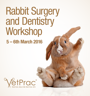# Rabbit Surgery and Dentistry **Workshop 5 – 6th March 2016**

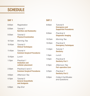# **SCHEDULE**

| <b>DAY 1</b>        |                                                           | DAY <sub>2</sub>   |                                                                    |
|---------------------|-----------------------------------------------------------|--------------------|--------------------------------------------------------------------|
| 8:00am              | Registration                                              | 8:00am             | Tutorial 6<br><b>Emergency and</b><br><b>Supportive Procedures</b> |
| 8:30am              | Tutorial 1<br><b>Nutrition and Husbandry</b>              |                    |                                                                    |
| 9:30am              | Tutorial 2<br><b>Physical Examination</b>                 | 9:00am             | Practical 4<br><b>Diagnostic Imaging</b>                           |
| 10:15am             | Morning Tea                                               | 10:25am            | <b>Morning Tea</b>                                                 |
| 10:45am             | Tutorial 3<br><b>Clinical Techniques</b>                  | 10:40am            | Practical 5<br><b>Emergency Techniques</b>                         |
| 11:45am             | Tutorial 4<br><b>Common Surgical Procedures</b>           | 11:40pm            | Tutorial 7<br><b>Dentistry</b>                                     |
| 12:45 <sub>pm</sub> | Lunch                                                     | 1:10 <sub>pm</sub> | Lunch                                                              |
| $1:15$ pm           | Practical 1<br><b>Intubation and</b>                      | $1:55$ pm          | Practical 6<br><b>Dentistry Part 1</b>                             |
|                     | catheter placement                                        | 3:10 <sub>pm</sub> | Afternoon Tea<br><b>Peri-operative Care</b>                        |
| 2:30 <sub>pm</sub>  | Practical 2 and 3<br><b>Common Surgical Procedures</b>    | 3:25 <sub>pm</sub> | Practical 7                                                        |
| 4:00 <sub>pm</sub>  | Afternoon Tea                                             |                    | <b>Dentistry Part 2</b>                                            |
| 4:15 <sub>pm</sub>  | Tutorial 5<br><b>General Anaesthetic</b><br>and Analgesia | 5:00pm             | <b>Collect Certificates</b><br>and Questions                       |
|                     |                                                           |                    |                                                                    |

5:30pm *Day End*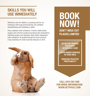### **SKILLS YOU WILL USE IMMEDIATELY**

Veterinary care for rabbits is a growing area for our profession with huge profit potential. Be confident anaesthetising and intubating a rabbit.

Place catheters with confidence. Practice rabbit dental surgery and common surgical procedures like amputations. intestinal surgery and desexing. Read rabbit radiographs with confidence. Be quided through the most practical 2 day workshop for small mammal clinicians in 2016.



# **BOOK NOW! DON'T MISS OUT PLACES LIMITED**

**BE BETTER TRAINED FOR RABBIT VETERINARY CARE**

**OFFER UNIQUE SERVICES IN YOUR AREA**

**INCREASE PRACTICE PROFITABILITY**

**CALL 0414 581 600 FOR MORE INFORMATION WWW.VETPRAC.COM**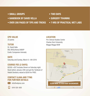- **SMALL GROUPS**
- **HANDBOOK BY DAVID VELLA**
- **OVER 200 PAGES OF TIPS AND TRICKS**
- **TWO DAYS**
- **SURGERY TRAINING**
- **7 HRS OF PRACTICAL WET LABS**

#### **CPD VALUE**

23 points

#### **TUTOR**

Dr. David Vella BSc BVSc(Hons) DABVP Exotic Companion Animals)

#### **DATE**

Saturday and Sunday, March 5– 6th 2016

#### **COURSE FEE (2 DAYS)**

\$2200 +GST Includes Dinner on Saturday night. Book before January 25th and get the Textbook of Rabbit Dentistry valued at \$200 for FREE.

#### **CONTACT ILANA AND TYNG FOR FURTHER DETAILS**



info@vetprac.com



0414 581 600

#### **LOCATION**

Pre-Clinical Studies Centre Charles Sturt University Wagga Wagga NSW

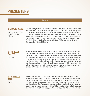## **PRESENTERS**

#### *Speaker*

#### **DR. DAVID VELLA**

BSc BVSc(Hons) (DABVP Exotic) Companion Animals

Dr David Vella graduated with a Bachelor of Science (1992) and a Bachelor of Veterinary Science (1996) – both from the University of Sydney. In 2009, David became a Diplomate of the American Board of Veterinary Practitioners in Exotic Companion Mammals, the first and only Australian vet to achieve these credentials. Currently volunteering for NSW WIRES (Wildlife Information Rescue & Emergency Service), Dr Vella is involved in reptile and amphibian rescue. He also trains in handling, rehabilitation, foster care and rescue. Dr Vella is director of Sydney Exotics and Rabbit Vets (SERV) working out of the North Shore Veterinary Specialist Centre.

#### **DR NARFLIF WALTER**

BVSc, MRCVS

Narelle graduated in 1996 at Melbourne University and worked throughout Victoria as a dairy and large animal veterinarian. She has travelled extensively to New Zealand and the United Kingdom where her interest for rabbits increased. In England, Narelle worked in a large small animal clinic and treated an increasingly large number of rabbit patients over three years. Returning to Australia it became obvious that rabbits were increasing in popularity, especially as inside house rabbits. Narelle concentrates exclusively on rabbits and the occasional guinea pig as both a primary and secondary opinion veterinarian. She offers routine rabbit services including desexings and routine vaccinations, as well as surgical and medical care at her hospital Melbourne Rabbit Clinic.

#### **DR MICHELLE DALLI**

BSc BVSc

Michelle graduated from Sydney University in 2005 with a special interest in exotics and wildlife, particularly reptiles. Dr Bingley has worked in various small animal practices since graduation and also had her own mobile veterinary service for reptiles. Now working for David Vella for over four years and loving it, Michelle is particularly focused on surgery and the challenge of performing even routine procedures in exotics. She has developed a strong interest in small mammal medicine. Michelle has two children who love animals and the home is shared with 2 dogs, 3 rabbits, a guine pig, 6 snakes and a lace monitor.